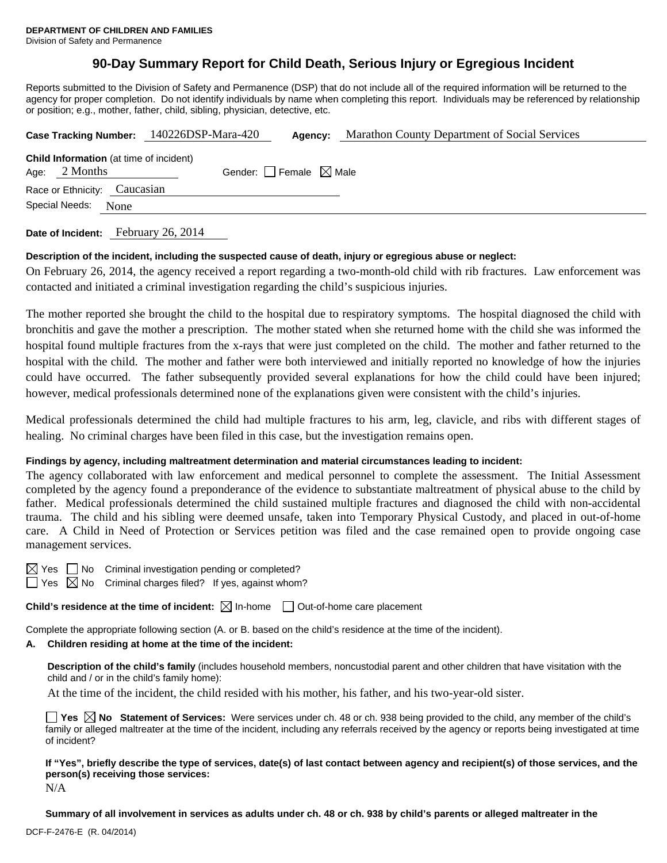## **90-Day Summary Report for Child Death, Serious Injury or Egregious Incident**

Reports submitted to the Division of Safety and Permanence (DSP) that do not include all of the required information will be returned to the agency for proper completion. Do not identify individuals by name when completing this report. Individuals may be referenced by relationship or position; e.g., mother, father, child, sibling, physician, detective, etc.

|                                                                   | Case Tracking Number: 140226DSP-Mara-420 | Agency:                         | Marathon County Department of Social Services |  |
|-------------------------------------------------------------------|------------------------------------------|---------------------------------|-----------------------------------------------|--|
| <b>Child Information</b> (at time of incident)<br>Age: $2$ Months |                                          | Gender: Female $\boxtimes$ Male |                                               |  |
| Race or Ethnicity: Caucasian                                      |                                          |                                 |                                               |  |
| Special Needs:<br>None                                            |                                          |                                 |                                               |  |
|                                                                   |                                          |                                 |                                               |  |

**Date of Incident:** February 26, 2014

### **Description of the incident, including the suspected cause of death, injury or egregious abuse or neglect:**

On February 26, 2014, the agency received a report regarding a two-month-old child with rib fractures. Law enforcement was contacted and initiated a criminal investigation regarding the child's suspicious injuries.

The mother reported she brought the child to the hospital due to respiratory symptoms. The hospital diagnosed the child with bronchitis and gave the mother a prescription. The mother stated when she returned home with the child she was informed the hospital found multiple fractures from the x-rays that were just completed on the child. The mother and father returned to the hospital with the child. The mother and father were both interviewed and initially reported no knowledge of how the injuries could have occurred. The father subsequently provided several explanations for how the child could have been injured; however, medical professionals determined none of the explanations given were consistent with the child's injuries.

Medical professionals determined the child had multiple fractures to his arm, leg, clavicle, and ribs with different stages of healing. No criminal charges have been filed in this case, but the investigation remains open.

### **Findings by agency, including maltreatment determination and material circumstances leading to incident:**

The agency collaborated with law enforcement and medical personnel to complete the assessment. The Initial Assessment completed by the agency found a preponderance of the evidence to substantiate maltreatment of physical abuse to the child by father. Medical professionals determined the child sustained multiple fractures and diagnosed the child with non-accidental trauma. The child and his sibling were deemed unsafe, taken into Temporary Physical Custody, and placed in out-of-home care. A Child in Need of Protection or Services petition was filed and the case remained open to provide ongoing case management services.

 $\boxtimes$  Yes  $\Box$  No Criminal investigation pending or completed?

 $\Box$  Yes  $\boxtimes$  No Criminal charges filed? If yes, against whom?

**Child's residence at the time of incident:**  $\boxtimes$  In-home  $\Box$  Out-of-home care placement

Complete the appropriate following section (A. or B. based on the child's residence at the time of the incident).

### **A. Children residing at home at the time of the incident:**

**Description of the child's family** (includes household members, noncustodial parent and other children that have visitation with the child and / or in the child's family home):

At the time of the incident, the child resided with his mother, his father, and his two-year-old sister.

**Yes No** Statement of Services: Were services under ch. 48 or ch. 938 being provided to the child, any member of the child's family or alleged maltreater at the time of the incident, including any referrals received by the agency or reports being investigated at time of incident?

**If "Yes", briefly describe the type of services, date(s) of last contact between agency and recipient(s) of those services, and the person(s) receiving those services:** 

N/A

**Summary of all involvement in services as adults under ch. 48 or ch. 938 by child's parents or alleged maltreater in the**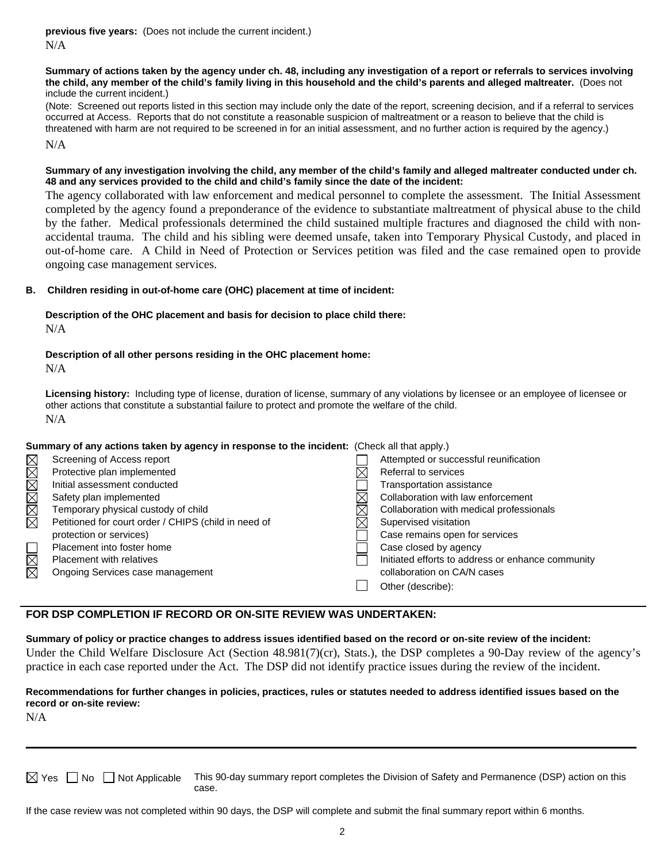**previous five years:** (Does not include the current incident.) N/A

#### **Summary of actions taken by the agency under ch. 48, including any investigation of a report or referrals to services involving the child, any member of the child's family living in this household and the child's parents and alleged maltreater.** (Does not include the current incident.)

(Note: Screened out reports listed in this section may include only the date of the report, screening decision, and if a referral to services occurred at Access. Reports that do not constitute a reasonable suspicion of maltreatment or a reason to believe that the child is threatened with harm are not required to be screened in for an initial assessment, and no further action is required by the agency.) N/A

#### **Summary of any investigation involving the child, any member of the child's family and alleged maltreater conducted under ch. 48 and any services provided to the child and child's family since the date of the incident:**

The agency collaborated with law enforcement and medical personnel to complete the assessment. The Initial Assessment completed by the agency found a preponderance of the evidence to substantiate maltreatment of physical abuse to the child by the father. Medical professionals determined the child sustained multiple fractures and diagnosed the child with nonaccidental trauma. The child and his sibling were deemed unsafe, taken into Temporary Physical Custody, and placed in out-of-home care. A Child in Need of Protection or Services petition was filed and the case remained open to provide ongoing case management services.

### **B. Children residing in out-of-home care (OHC) placement at time of incident:**

#### **Description of the OHC placement and basis for decision to place child there:** N/A

# **Description of all other persons residing in the OHC placement home:**

N/A

**Licensing history:** Including type of license, duration of license, summary of any violations by licensee or an employee of licensee or other actions that constitute a substantial failure to protect and promote the welfare of the child. N/A

### **Summary of any actions taken by agency in response to the incident:** (Check all that apply.)

|             | Screening of Access report                           | Attempted or successful reunification             |
|-------------|------------------------------------------------------|---------------------------------------------------|
| MMMMMM      | Protective plan implemented                          | Referral to services                              |
|             | Initial assessment conducted                         | Transportation assistance                         |
|             | Safety plan implemented                              | Collaboration with law enforcement                |
|             | Temporary physical custody of child                  | Collaboration with medical professionals          |
|             | Petitioned for court order / CHIPS (child in need of | Supervised visitation                             |
|             | protection or services)                              | Case remains open for services                    |
| N<br>M<br>O | Placement into foster home                           | Case closed by agency                             |
|             | <b>Placement with relatives</b>                      | Initiated efforts to address or enhance community |
|             | Ongoing Services case management                     | collaboration on CA/N cases                       |
|             |                                                      | Other (describe):                                 |
|             |                                                      |                                                   |

## **FOR DSP COMPLETION IF RECORD OR ON-SITE REVIEW WAS UNDERTAKEN:**

**Summary of policy or practice changes to address issues identified based on the record or on-site review of the incident:** Under the Child Welfare Disclosure Act (Section 48.981(7)(cr), Stats.), the DSP completes a 90-Day review of the agency's practice in each case reported under the Act. The DSP did not identify practice issues during the review of the incident.

### **Recommendations for further changes in policies, practices, rules or statutes needed to address identified issues based on the record or on-site review:**

N/A

 $\boxtimes$  Yes  $\Box$  No  $\Box$  Not Applicable This 90-day summary report completes the Division of Safety and Permanence (DSP) action on this case.

\_\_\_\_\_\_\_\_\_\_\_\_\_\_\_\_\_\_\_\_\_\_\_\_\_\_\_\_\_\_\_\_\_\_\_\_\_\_\_\_\_\_\_\_\_\_\_\_\_\_\_\_\_\_\_\_\_\_\_\_\_\_\_\_\_\_\_\_\_\_\_\_\_\_\_\_\_\_\_\_\_\_\_\_\_\_\_\_\_\_\_\_\_\_\_\_\_\_\_\_\_\_\_\_\_\_\_\_\_\_\_\_

If the case review was not completed within 90 days, the DSP will complete and submit the final summary report within 6 months.